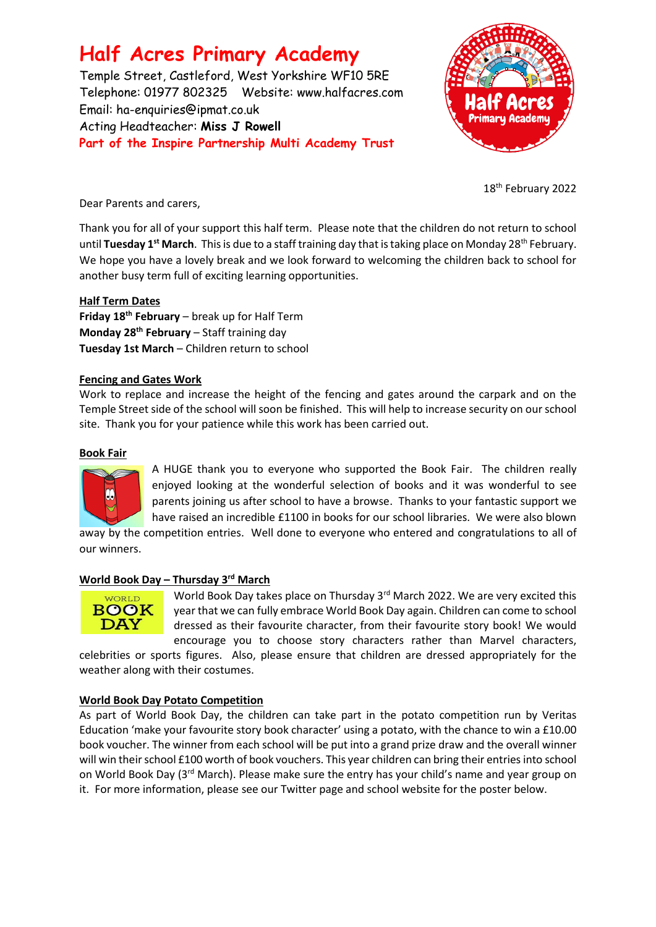## **Half Acres Primary Academy**

Temple Street, Castleford, West Yorkshire WF10 5RE Telephone: 01977 802325 Website: [www.halfacres.com](http://www.halfacres.com/) Email: ha-enquiries@ipmat.co.uk Acting Headteacher: **Miss J Rowell Part of the Inspire Partnership Multi Academy Trust**



18<sup>th</sup> February 2022

Dear Parents and carers,

Thank you for all of your support this half term. Please note that the children do not return to school until **Tuesday 1st March**. This is due to a staff training day that is taking place on Monday 28th February. We hope you have a lovely break and we look forward to welcoming the children back to school for another busy term full of exciting learning opportunities.

## **Half Term Dates**

**Friday 18th February** – break up for Half Term **Monday 28th February** – Staff training day **Tuesday 1st March** – Children return to school

## **Fencing and Gates Work**

Work to replace and increase the height of the fencing and gates around the carpark and on the Temple Street side of the school will soon be finished. This will help to increase security on our school site. Thank you for your patience while this work has been carried out.

## **Book Fair**



A HUGE thank you to everyone who supported the Book Fair. The children really enjoyed looking at the wonderful selection of books and it was wonderful to see parents joining us after school to have a browse. Thanks to your fantastic support we have raised an incredible £1100 in books for our school libraries. We were also blown

away by the competition entries. Well done to everyone who entered and congratulations to all of our winners.

#### **World Book Day – Thursday 3rd March**



World Book Day takes place on Thursday 3<sup>rd</sup> March 2022. We are very excited this year that we can fully embrace World Book Day again. Children can come to school dressed as their favourite character, from their favourite story book! We would encourage you to choose story characters rather than Marvel characters,

celebrities or sports figures. Also, please ensure that children are dressed appropriately for the weather along with their costumes.

## **World Book Day Potato Competition**

As part of World Book Day, the children can take part in the potato competition run by Veritas Education 'make your favourite story book character' using a potato, with the chance to win a £10.00 book voucher. The winner from each school will be put into a grand prize draw and the overall winner will win their school £100 worth of book vouchers. This year children can bring their entries into school on World Book Day (3<sup>rd</sup> March). Please make sure the entry has your child's name and year group on it. For more information, please see our Twitter page and school website for the poster below.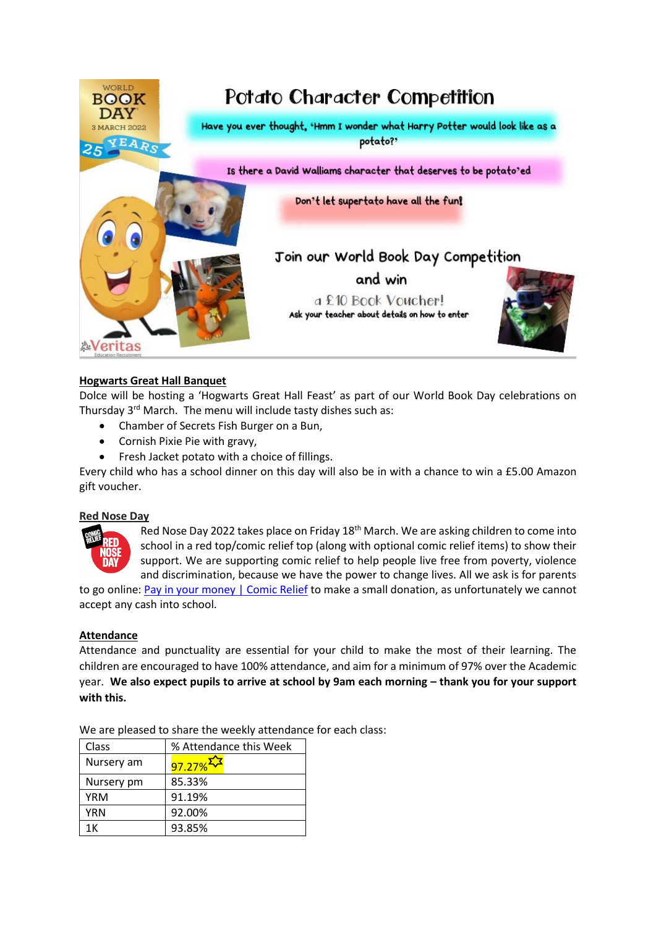

## **Hogwarts Great Hall Banquet**

Dolce will be hosting a 'Hogwarts Great Hall Feast' as part of our World Book Day celebrations on Thursday 3<sup>rd</sup> March. The menu will include tasty dishes such as:

- Chamber of Secrets Fish Burger on a Bun,
- Cornish Pixie Pie with gravy,
- Fresh Jacket potato with a choice of fillings.

Every child who has a school dinner on this day will also be in with a chance to win a £5.00 Amazon gift voucher.

#### **Red Nose Day**



Red Nose Day 2022 takes place on Friday 18<sup>th</sup> March. We are asking children to come into school in a red top/comic relief top (along with optional comic relief items) to show their support. We are supporting comic relief to help people live free from poverty, violence and discrimination, because we have the power to change lives. All we ask is for parents

to go online: [Pay in your money | Comic Relief](https://www.comicrelief.com/rednoseday/fundraise/pay-in-your-money) to make a small donation, as unfortunately we cannot accept any cash into school.

#### **Attendance**

Attendance and punctuality are essential for your child to make the most of their learning. The children are encouraged to have 100% attendance, and aim for a minimum of 97% over the Academic year. **We also expect pupils to arrive at school by 9am each morning – thank you for your support with this.**

| Class      | % Attendance this Week |
|------------|------------------------|
| Nursery am | $97.27\%$              |
| Nursery pm | 85.33%                 |
| <b>YRM</b> | 91.19%                 |
| <b>YRN</b> | 92.00%                 |
| 1Κ         | 93.85%                 |

We are pleased to share the weekly attendance for each class: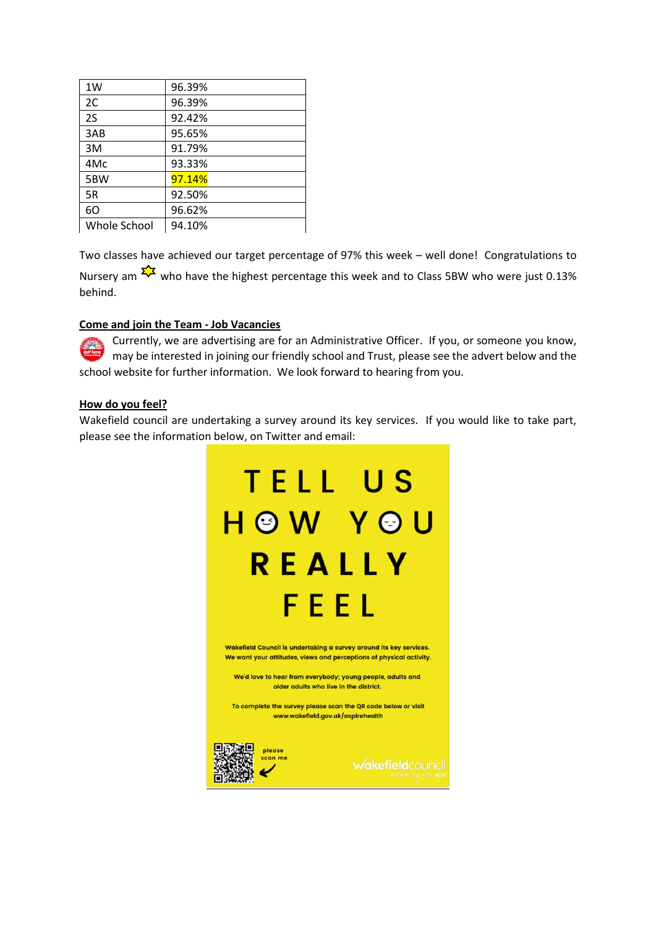| 1W           | 96.39% |
|--------------|--------|
| 2C           | 96.39% |
| 2S           | 92.42% |
| 3AB          | 95.65% |
| 3M           | 91.79% |
| 4Mc          | 93.33% |
| 5BW          | 97.14% |
| 5R           | 92.50% |
| 60           | 96.62% |
| Whole School | 94.10% |

Two classes have achieved our target percentage of 97% this week – well done! Congratulations to Nursery am  $\frac{1}{2}$  who have the highest percentage this week and to Class 5BW who were just 0.13% behind.

## **Come and join the Team - Job Vacancies**

Currently, we are advertising are for an Administrative Officer. If you, or someone you know, may be interested in joining our friendly school and Trust, please see the advert below and the school website for further information. We look forward to hearing from you.

## **How do you feel?**

Wakefield council are undertaking a survey around its key services. If you would like to take part, please see the information below, on Twitter and email:

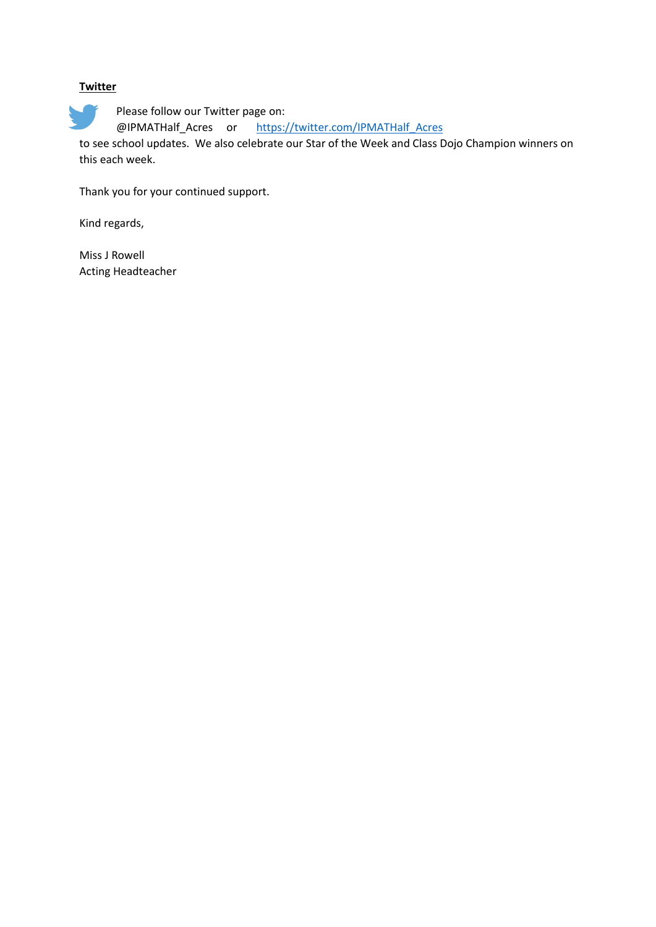## **Twitter**

Please follow our Twitter page on: @IPMATHalf\_Acres or [https://twitter.com/IPMATHalf\\_Acres](https://twitter.com/IPMATHalf_Acres)

to see school updates. We also celebrate our Star of the Week and Class Dojo Champion winners on this each week.

Thank you for your continued support.

Kind regards,

Miss J Rowell Acting Headteacher